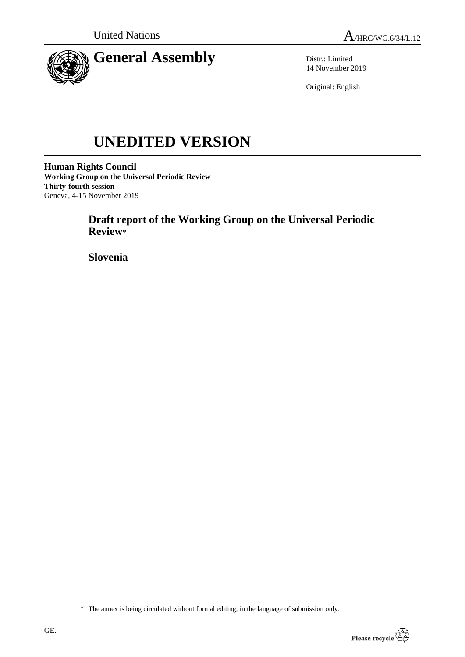

Distr.: Limited 14 November 2019

Original: English

# **UNEDITED VERSION**

**Human Rights Council Working Group on the Universal Periodic Review Thirty-fourth session** Geneva, 4-15 November 2019

## **Draft report of the Working Group on the Universal Periodic Review**\*

**Slovenia**

<sup>\*</sup> The annex is being circulated without formal editing, in the language of submission only.

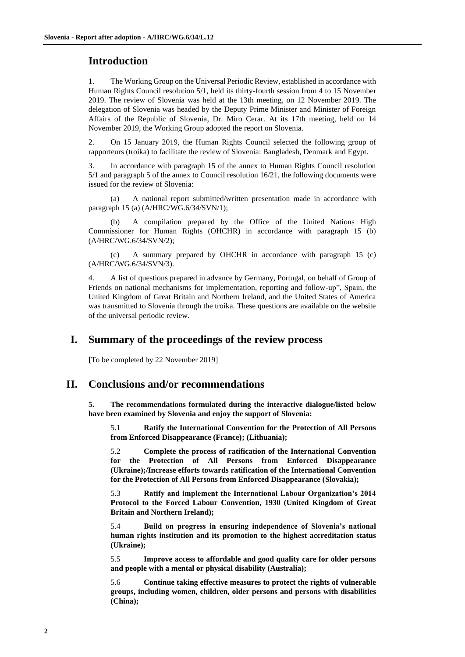## **Introduction**

1. The Working Group on the Universal Periodic Review, established in accordance with Human Rights Council resolution 5/1, held its thirty-fourth session from 4 to 15 November 2019. The review of Slovenia was held at the 13th meeting, on 12 November 2019. The delegation of Slovenia was headed by the Deputy Prime Minister and Minister of Foreign Affairs of the Republic of Slovenia, Dr. Miro Cerar. At its 17th meeting, held on 14 November 2019, the Working Group adopted the report on Slovenia.

2. On 15 January 2019, the Human Rights Council selected the following group of rapporteurs (troika) to facilitate the review of Slovenia: Bangladesh, Denmark and Egypt.

3. In accordance with paragraph 15 of the annex to Human Rights Council resolution 5/1 and paragraph 5 of the annex to Council resolution 16/21, the following documents were issued for the review of Slovenia:

(a) A national report submitted/written presentation made in accordance with paragraph 15 (a) (A/HRC/WG.6/34/SVN/1);

A compilation prepared by the Office of the United Nations High Commissioner for Human Rights (OHCHR) in accordance with paragraph 15 (b) (A/HRC/WG.6/34/SVN/2);

(c) A summary prepared by OHCHR in accordance with paragraph 15 (c) (A/HRC/WG.6/34/SVN/3).

4. A list of questions prepared in advance by Germany, Portugal, on behalf of Group of Friends on national mechanisms for implementation, reporting and follow-up", Spain, the United Kingdom of Great Britain and Northern Ireland, and the United States of America was transmitted to Slovenia through the troika. These questions are available on the website of the universal periodic review.

### **I. Summary of the proceedings of the review process**

**[**To be completed by 22 November 2019]

### **II. Conclusions and/or recommendations**

**5. The recommendations formulated during the interactive dialogue/listed below have been examined by Slovenia and enjoy the support of Slovenia:**

5.1 **Ratify the International Convention for the Protection of All Persons from Enforced Disappearance (France); (Lithuania);**

5.2 **Complete the process of ratification of the International Convention for the Protection of All Persons from Enforced Disappearance (Ukraine);/Increase efforts towards ratification of the International Convention for the Protection of All Persons from Enforced Disappearance (Slovakia);**

5.3 **Ratify and implement the International Labour Organization's 2014 Protocol to the Forced Labour Convention, 1930 (United Kingdom of Great Britain and Northern Ireland);**

5.4 **Build on progress in ensuring independence of Slovenia's national human rights institution and its promotion to the highest accreditation status (Ukraine);**

5.5 **Improve access to affordable and good quality care for older persons and people with a mental or physical disability (Australia);**

5.6 **Continue taking effective measures to protect the rights of vulnerable groups, including women, children, older persons and persons with disabilities (China);**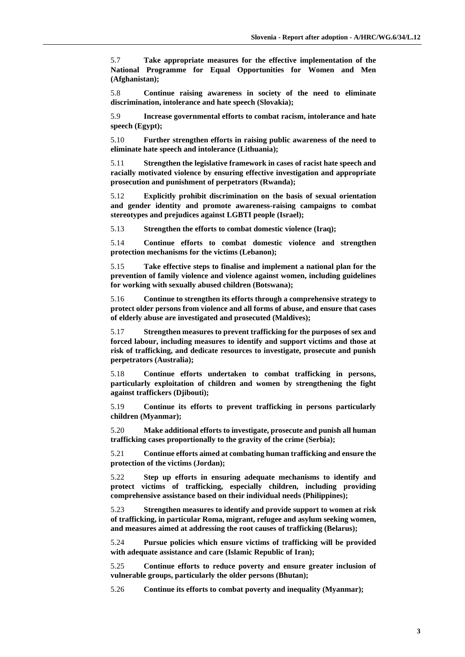5.7 **Take appropriate measures for the effective implementation of the National Programme for Equal Opportunities for Women and Men (Afghanistan);**

5.8 **Continue raising awareness in society of the need to eliminate discrimination, intolerance and hate speech (Slovakia);**

5.9 **Increase governmental efforts to combat racism, intolerance and hate speech (Egypt);**

5.10 **Further strengthen efforts in raising public awareness of the need to eliminate hate speech and intolerance (Lithuania);**

5.11 **Strengthen the legislative framework in cases of racist hate speech and racially motivated violence by ensuring effective investigation and appropriate prosecution and punishment of perpetrators (Rwanda);**

5.12 **Explicitly prohibit discrimination on the basis of sexual orientation and gender identity and promote awareness-raising campaigns to combat stereotypes and prejudices against LGBTI people (Israel);**

5.13 **Strengthen the efforts to combat domestic violence (Iraq);**

5.14 **Continue efforts to combat domestic violence and strengthen protection mechanisms for the victims (Lebanon);**

5.15 **Take effective steps to finalise and implement a national plan for the prevention of family violence and violence against women, including guidelines for working with sexually abused children (Botswana);**

5.16 **Continue to strengthen its efforts through a comprehensive strategy to protect older persons from violence and all forms of abuse, and ensure that cases of elderly abuse are investigated and prosecuted (Maldives);**

5.17 **Strengthen measures to prevent trafficking for the purposes of sex and forced labour, including measures to identify and support victims and those at risk of trafficking, and dedicate resources to investigate, prosecute and punish perpetrators (Australia);**

5.18 **Continue efforts undertaken to combat trafficking in persons, particularly exploitation of children and women by strengthening the fight against traffickers (Djibouti);**

5.19 **Continue its efforts to prevent trafficking in persons particularly children (Myanmar);**

5.20 **Make additional efforts to investigate, prosecute and punish all human trafficking cases proportionally to the gravity of the crime (Serbia);**

5.21 **Continue efforts aimed at combating human trafficking and ensure the protection of the victims (Jordan);**

5.22 **Step up efforts in ensuring adequate mechanisms to identify and protect victims of trafficking, especially children, including providing comprehensive assistance based on their individual needs (Philippines);**

5.23 **Strengthen measures to identify and provide support to women at risk of trafficking, in particular Roma, migrant, refugee and asylum seeking women, and measures aimed at addressing the root causes of trafficking (Belarus);**

5.24 **Pursue policies which ensure victims of trafficking will be provided with adequate assistance and care (Islamic Republic of Iran);**

5.25 **Continue efforts to reduce poverty and ensure greater inclusion of vulnerable groups, particularly the older persons (Bhutan);**

5.26 **Continue its efforts to combat poverty and inequality (Myanmar);**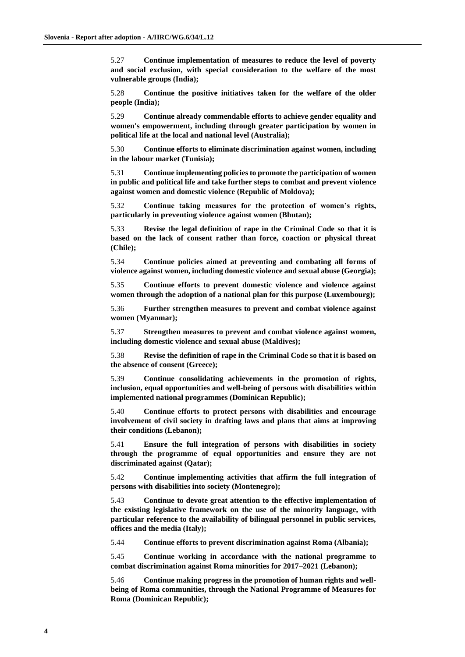5.27 **Continue implementation of measures to reduce the level of poverty and social exclusion, with special consideration to the welfare of the most vulnerable groups (India);**

5.28 **Continue the positive initiatives taken for the welfare of the older people (India);**

5.29 **Continue already commendable efforts to achieve gender equality and women's empowerment, including through greater participation by women in political life at the local and national level (Australia);**

5.30 **Continue efforts to eliminate discrimination against women, including in the labour market (Tunisia);**

5.31 **Continue implementing policies to promote the participation of women in public and political life and take further steps to combat and prevent violence against women and domestic violence (Republic of Moldova);**

5.32 **Continue taking measures for the protection of women's rights, particularly in preventing violence against women (Bhutan);**

5.33 **Revise the legal definition of rape in the Criminal Code so that it is based on the lack of consent rather than force, coaction or physical threat (Chile);**

5.34 **Continue policies aimed at preventing and combating all forms of violence against women, including domestic violence and sexual abuse (Georgia);**

5.35 **Continue efforts to prevent domestic violence and violence against women through the adoption of a national plan for this purpose (Luxembourg);**

5.36 **Further strengthen measures to prevent and combat violence against women (Myanmar);**

5.37 **Strengthen measures to prevent and combat violence against women, including domestic violence and sexual abuse (Maldives);**

5.38 **Revise the definition of rape in the Criminal Code so that it is based on the absence of consent (Greece);**

5.39 **Continue consolidating achievements in the promotion of rights, inclusion, equal opportunities and well-being of persons with disabilities within implemented national programmes (Dominican Republic);**

5.40 **Continue efforts to protect persons with disabilities and encourage involvement of civil society in drafting laws and plans that aims at improving their conditions (Lebanon);**

5.41 **Ensure the full integration of persons with disabilities in society through the programme of equal opportunities and ensure they are not discriminated against (Qatar);**

5.42 **Continue implementing activities that affirm the full integration of persons with disabilities into society (Montenegro);**

5.43 **Continue to devote great attention to the effective implementation of the existing legislative framework on the use of the minority language, with particular reference to the availability of bilingual personnel in public services, offices and the media (Italy);**

5.44 **Continue efforts to prevent discrimination against Roma (Albania);**

5.45 **Continue working in accordance with the national programme to combat discrimination against Roma minorities for 2017–2021 (Lebanon);**

5.46 **Continue making progress in the promotion of human rights and wellbeing of Roma communities, through the National Programme of Measures for Roma (Dominican Republic);**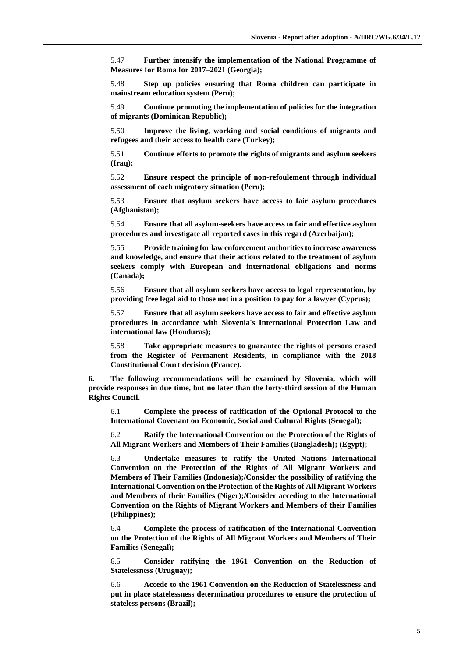5.47 **Further intensify the implementation of the National Programme of Measures for Roma for 2017–2021 (Georgia);**

5.48 **Step up policies ensuring that Roma children can participate in mainstream education system (Peru);**

5.49 **Continue promoting the implementation of policies for the integration of migrants (Dominican Republic);**

5.50 **Improve the living, working and social conditions of migrants and refugees and their access to health care (Turkey);**

5.51 **Continue efforts to promote the rights of migrants and asylum seekers (Iraq);**

5.52 **Ensure respect the principle of non-refoulement through individual assessment of each migratory situation (Peru);**

5.53 **Ensure that asylum seekers have access to fair asylum procedures (Afghanistan);**

5.54 **Ensure that all asylum-seekers have access to fair and effective asylum procedures and investigate all reported cases in this regard (Azerbaijan);**

5.55 **Provide training for law enforcement authorities to increase awareness and knowledge, and ensure that their actions related to the treatment of asylum seekers comply with European and international obligations and norms (Canada);**

5.56 **Ensure that all asylum seekers have access to legal representation, by providing free legal aid to those not in a position to pay for a lawyer (Cyprus);**

5.57 **Ensure that all asylum seekers have access to fair and effective asylum procedures in accordance with Slovenia's International Protection Law and international law (Honduras);**

5.58 **Take appropriate measures to guarantee the rights of persons erased from the Register of Permanent Residents, in compliance with the 2018 Constitutional Court decision (France).**

**6. The following recommendations will be examined by Slovenia, which will provide responses in due time, but no later than the forty-third session of the Human Rights Council.**

6.1 **Complete the process of ratification of the Optional Protocol to the International Covenant on Economic, Social and Cultural Rights (Senegal);**

6.2 **Ratify the International Convention on the Protection of the Rights of All Migrant Workers and Members of Their Families (Bangladesh); (Egypt);**

6.3 **Undertake measures to ratify the United Nations International Convention on the Protection of the Rights of All Migrant Workers and Members of Their Families (Indonesia);/Consider the possibility of ratifying the International Convention on the Protection of the Rights of All Migrant Workers and Members of their Families (Niger);/Consider acceding to the International Convention on the Rights of Migrant Workers and Members of their Families (Philippines);**

6.4 **Complete the process of ratification of the International Convention on the Protection of the Rights of All Migrant Workers and Members of Their Families (Senegal);**

6.5 **Consider ratifying the 1961 Convention on the Reduction of Statelessness (Uruguay);**

6.6 **Accede to the 1961 Convention on the Reduction of Statelessness and put in place statelessness determination procedures to ensure the protection of stateless persons (Brazil);**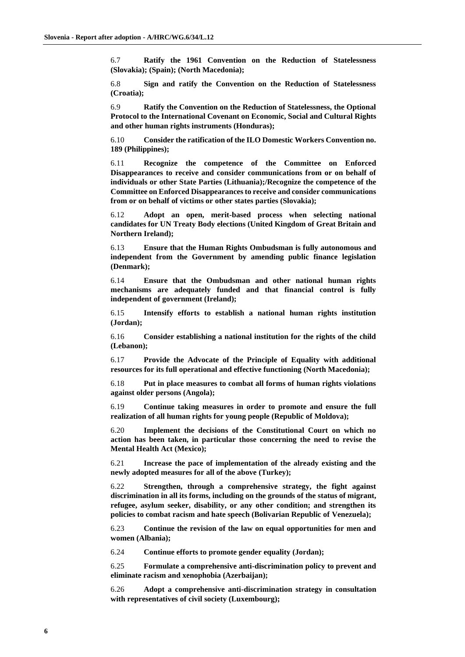6.7 **Ratify the 1961 Convention on the Reduction of Statelessness (Slovakia); (Spain); (North Macedonia);**

6.8 **Sign and ratify the Convention on the Reduction of Statelessness (Croatia);**

6.9 **Ratify the Convention on the Reduction of Statelessness, the Optional Protocol to the International Covenant on Economic, Social and Cultural Rights and other human rights instruments (Honduras);**

6.10 **Consider the ratification of the ILO Domestic Workers Convention no. 189 (Philippines);**

6.11 **Recognize the competence of the Committee on Enforced Disappearances to receive and consider communications from or on behalf of individuals or other State Parties (Lithuania);/Recognize the competence of the Committee on Enforced Disappearances to receive and consider communications from or on behalf of victims or other states parties (Slovakia);**

6.12 **Adopt an open, merit-based process when selecting national candidates for UN Treaty Body elections (United Kingdom of Great Britain and Northern Ireland);**

6.13 **Ensure that the Human Rights Ombudsman is fully autonomous and independent from the Government by amending public finance legislation (Denmark);**

6.14 **Ensure that the Ombudsman and other national human rights mechanisms are adequately funded and that financial control is fully independent of government (Ireland);**

6.15 **Intensify efforts to establish a national human rights institution (Jordan);**

6.16 **Consider establishing a national institution for the rights of the child (Lebanon);**

6.17 **Provide the Advocate of the Principle of Equality with additional resources for its full operational and effective functioning (North Macedonia);**

6.18 **Put in place measures to combat all forms of human rights violations against older persons (Angola);**

6.19 **Continue taking measures in order to promote and ensure the full realization of all human rights for young people (Republic of Moldova);**

6.20 **Implement the decisions of the Constitutional Court on which no action has been taken, in particular those concerning the need to revise the Mental Health Act (Mexico);**

6.21 **Increase the pace of implementation of the already existing and the newly adopted measures for all of the above (Turkey);**

6.22 **Strengthen, through a comprehensive strategy, the fight against discrimination in all its forms, including on the grounds of the status of migrant, refugee, asylum seeker, disability, or any other condition; and strengthen its policies to combat racism and hate speech (Bolivarian Republic of Venezuela);**

6.23 **Continue the revision of the law on equal opportunities for men and women (Albania);**

6.24 **Continue efforts to promote gender equality (Jordan);**

6.25 **Formulate a comprehensive anti-discrimination policy to prevent and eliminate racism and xenophobia (Azerbaijan);**

6.26 **Adopt a comprehensive anti-discrimination strategy in consultation with representatives of civil society (Luxembourg);**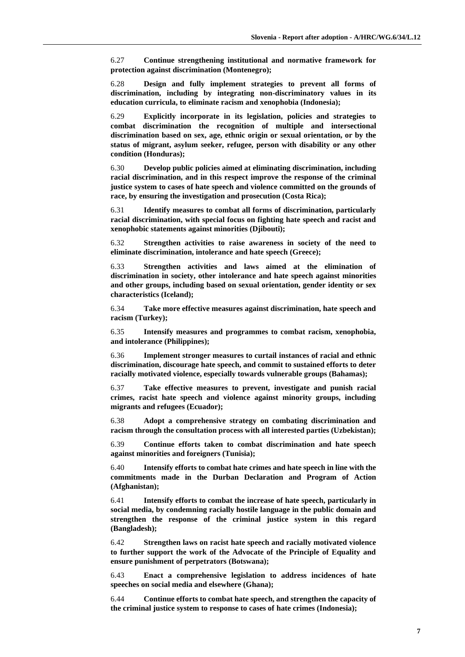6.27 **Continue strengthening institutional and normative framework for protection against discrimination (Montenegro);**

6.28 **Design and fully implement strategies to prevent all forms of discrimination, including by integrating non-discriminatory values in its education curricula, to eliminate racism and xenophobia (Indonesia);**

6.29 **Explicitly incorporate in its legislation, policies and strategies to combat discrimination the recognition of multiple and intersectional discrimination based on sex, age, ethnic origin or sexual orientation, or by the status of migrant, asylum seeker, refugee, person with disability or any other condition (Honduras);**

6.30 **Develop public policies aimed at eliminating discrimination, including racial discrimination, and in this respect improve the response of the criminal justice system to cases of hate speech and violence committed on the grounds of race, by ensuring the investigation and prosecution (Costa Rica);**

6.31 **Identify measures to combat all forms of discrimination, particularly racial discrimination, with special focus on fighting hate speech and racist and xenophobic statements against minorities (Djibouti);**

6.32 **Strengthen activities to raise awareness in society of the need to eliminate discrimination, intolerance and hate speech (Greece);**

6.33 **Strengthen activities and laws aimed at the elimination of discrimination in society, other intolerance and hate speech against minorities and other groups, including based on sexual orientation, gender identity or sex characteristics (Iceland);**

6.34 **Take more effective measures against discrimination, hate speech and racism (Turkey);**

6.35 **Intensify measures and programmes to combat racism, xenophobia, and intolerance (Philippines);**

6.36 **Implement stronger measures to curtail instances of racial and ethnic discrimination, discourage hate speech, and commit to sustained efforts to deter racially motivated violence, especially towards vulnerable groups (Bahamas);**

6.37 **Take effective measures to prevent, investigate and punish racial crimes, racist hate speech and violence against minority groups, including migrants and refugees (Ecuador);**

6.38 **Adopt a comprehensive strategy on combating discrimination and racism through the consultation process with all interested parties (Uzbekistan);**

6.39 **Continue efforts taken to combat discrimination and hate speech against minorities and foreigners (Tunisia);**

6.40 **Intensify efforts to combat hate crimes and hate speech in line with the commitments made in the Durban Declaration and Program of Action (Afghanistan);**

6.41 **Intensify efforts to combat the increase of hate speech, particularly in social media, by condemning racially hostile language in the public domain and strengthen the response of the criminal justice system in this regard (Bangladesh);**

6.42 **Strengthen laws on racist hate speech and racially motivated violence to further support the work of the Advocate of the Principle of Equality and ensure punishment of perpetrators (Botswana);**

6.43 **Enact a comprehensive legislation to address incidences of hate speeches on social media and elsewhere (Ghana);**

6.44 **Continue efforts to combat hate speech, and strengthen the capacity of the criminal justice system to response to cases of hate crimes (Indonesia);**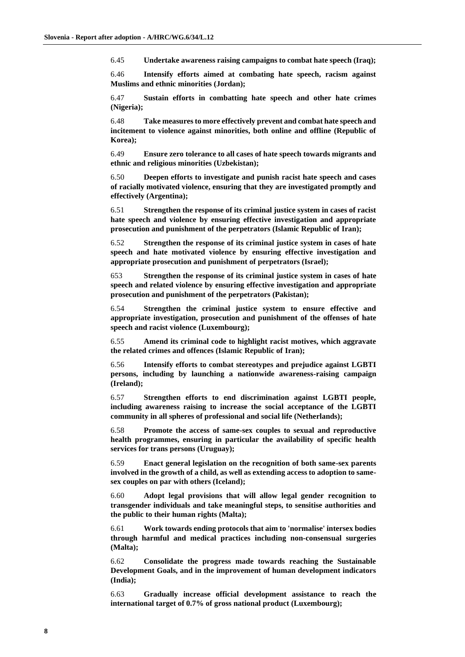6.45 **Undertake awareness raising campaigns to combat hate speech (Iraq);**

6.46 **Intensify efforts aimed at combating hate speech, racism against Muslims and ethnic minorities (Jordan);**

6.47 **Sustain efforts in combatting hate speech and other hate crimes (Nigeria);**

6.48 **Take measures to more effectively prevent and combat hate speech and incitement to violence against minorities, both online and offline (Republic of Korea);**

6.49 **Ensure zero tolerance to all cases of hate speech towards migrants and ethnic and religious minorities (Uzbekistan);**

6.50 **Deepen efforts to investigate and punish racist hate speech and cases of racially motivated violence, ensuring that they are investigated promptly and effectively (Argentina);**

6.51 **Strengthen the response of its criminal justice system in cases of racist hate speech and violence by ensuring effective investigation and appropriate prosecution and punishment of the perpetrators (Islamic Republic of Iran);**

6.52 **Strengthen the response of its criminal justice system in cases of hate speech and hate motivated violence by ensuring effective investigation and appropriate prosecution and punishment of perpetrators (Israel);**

653 **Strengthen the response of its criminal justice system in cases of hate speech and related violence by ensuring effective investigation and appropriate prosecution and punishment of the perpetrators (Pakistan);**

6.54 **Strengthen the criminal justice system to ensure effective and appropriate investigation, prosecution and punishment of the offenses of hate speech and racist violence (Luxembourg);**

6.55 **Amend its criminal code to highlight racist motives, which aggravate the related crimes and offences (Islamic Republic of Iran);**

6.56 **Intensify efforts to combat stereotypes and prejudice against LGBTI persons, including by launching a nationwide awareness-raising campaign (Ireland);**

6.57 **Strengthen efforts to end discrimination against LGBTI people, including awareness raising to increase the social acceptance of the LGBTI community in all spheres of professional and social life (Netherlands);**

6.58 **Promote the access of same-sex couples to sexual and reproductive health programmes, ensuring in particular the availability of specific health services for trans persons (Uruguay);**

6.59 **Enact general legislation on the recognition of both same-sex parents involved in the growth of a child, as well as extending access to adoption to samesex couples on par with others (Iceland);**

6.60 **Adopt legal provisions that will allow legal gender recognition to transgender individuals and take meaningful steps, to sensitise authorities and the public to their human rights (Malta);**

6.61 **Work towards ending protocols that aim to 'normalise' intersex bodies through harmful and medical practices including non-consensual surgeries (Malta);**

6.62 **Consolidate the progress made towards reaching the Sustainable Development Goals, and in the improvement of human development indicators (India);**

6.63 **Gradually increase official development assistance to reach the international target of 0.7% of gross national product (Luxembourg);**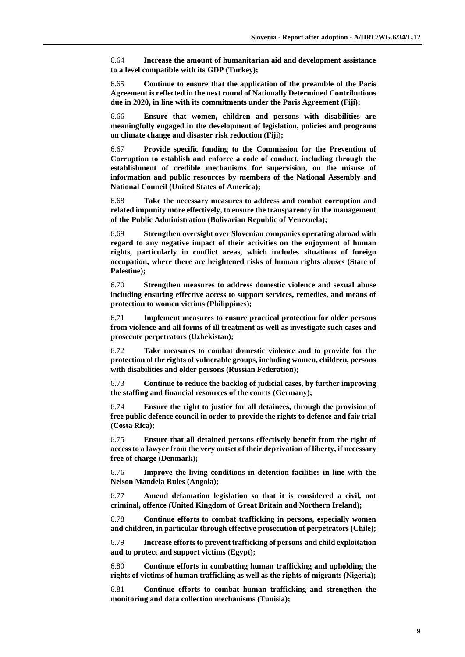6.64 **Increase the amount of humanitarian aid and development assistance to a level compatible with its GDP (Turkey);**

6.65 **Continue to ensure that the application of the preamble of the Paris Agreement is reflected in the next round of Nationally Determined Contributions due in 2020, in line with its commitments under the Paris Agreement (Fiji);**

6.66 **Ensure that women, children and persons with disabilities are meaningfully engaged in the development of legislation, policies and programs on climate change and disaster risk reduction (Fiji);**

6.67 **Provide specific funding to the Commission for the Prevention of Corruption to establish and enforce a code of conduct, including through the establishment of credible mechanisms for supervision, on the misuse of information and public resources by members of the National Assembly and National Council (United States of America);**

6.68 **Take the necessary measures to address and combat corruption and related impunity more effectively, to ensure the transparency in the management of the Public Administration (Bolivarian Republic of Venezuela);**

6.69 **Strengthen oversight over Slovenian companies operating abroad with regard to any negative impact of their activities on the enjoyment of human rights, particularly in conflict areas, which includes situations of foreign occupation, where there are heightened risks of human rights abuses (State of Palestine);**

6.70 **Strengthen measures to address domestic violence and sexual abuse including ensuring effective access to support services, remedies, and means of protection to women victims (Philippines);**

6.71 **Implement measures to ensure practical protection for older persons from violence and all forms of ill treatment as well as investigate such cases and prosecute perpetrators (Uzbekistan);**

6.72 **Take measures to combat domestic violence and to provide for the protection of the rights of vulnerable groups, including women, children, persons with disabilities and older persons (Russian Federation);**

6.73 **Continue to reduce the backlog of judicial cases, by further improving the staffing and financial resources of the courts (Germany);**

6.74 **Ensure the right to justice for all detainees, through the provision of free public defence council in order to provide the rights to defence and fair trial (Costa Rica);**

6.75 **Ensure that all detained persons effectively benefit from the right of access to a lawyer from the very outset of their deprivation of liberty, if necessary free of charge (Denmark);**

6.76 **Improve the living conditions in detention facilities in line with the Nelson Mandela Rules (Angola);**

6.77 **Amend defamation legislation so that it is considered a civil, not criminal, offence (United Kingdom of Great Britain and Northern Ireland);**

6.78 **Continue efforts to combat trafficking in persons, especially women and children, in particular through effective prosecution of perpetrators (Chile);**

6.79 **Increase efforts to prevent trafficking of persons and child exploitation and to protect and support victims (Egypt);**

6.80 **Continue efforts in combatting human trafficking and upholding the rights of victims of human trafficking as well as the rights of migrants (Nigeria);**

6.81 **Continue efforts to combat human trafficking and strengthen the monitoring and data collection mechanisms (Tunisia);**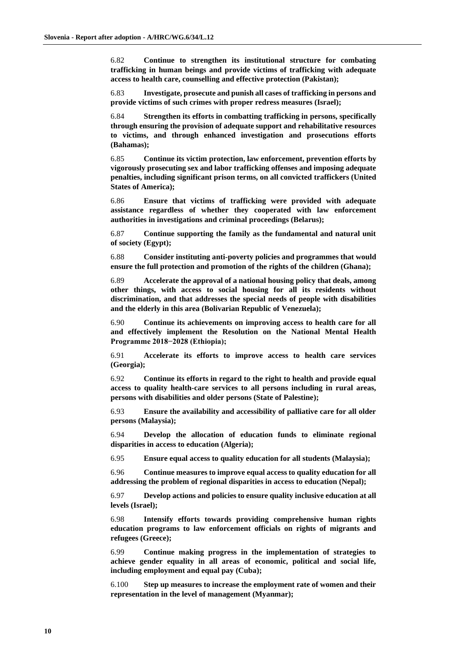6.82 **Continue to strengthen its institutional structure for combating trafficking in human beings and provide victims of trafficking with adequate access to health care, counselling and effective protection (Pakistan);**

6.83 **Investigate, prosecute and punish all cases of trafficking in persons and provide victims of such crimes with proper redress measures (Israel);**

6.84 **Strengthen its efforts in combatting trafficking in persons, specifically through ensuring the provision of adequate support and rehabilitative resources to victims, and through enhanced investigation and prosecutions efforts (Bahamas);**

6.85 **Continue its victim protection, law enforcement, prevention efforts by vigorously prosecuting sex and labor trafficking offenses and imposing adequate penalties, including significant prison terms, on all convicted traffickers (United States of America);**

6.86 **Ensure that victims of trafficking were provided with adequate assistance regardless of whether they cooperated with law enforcement authorities in investigations and criminal proceedings (Belarus);**

6.87 **Continue supporting the family as the fundamental and natural unit of society (Egypt);**

6.88 **Consider instituting anti-poverty policies and programmes that would ensure the full protection and promotion of the rights of the children (Ghana);**

6.89 **Accelerate the approval of a national housing policy that deals, among other things, with access to social housing for all its residents without discrimination, and that addresses the special needs of people with disabilities and the elderly in this area (Bolivarian Republic of Venezuela);**

6.90 **Continue its achievements on improving access to health care for all and effectively implement the Resolution on the National Mental Health Programme 2018−2028 (Ethiopia);**

6.91 **Accelerate its efforts to improve access to health care services (Georgia);**

6.92 **Continue its efforts in regard to the right to health and provide equal access to quality health-care services to all persons including in rural areas, persons with disabilities and older persons (State of Palestine);**

6.93 **Ensure the availability and accessibility of palliative care for all older persons (Malaysia);**

6.94 **Develop the allocation of education funds to eliminate regional disparities in access to education (Algeria);**

6.95 **Ensure equal access to quality education for all students (Malaysia);**

6.96 **Continue measures to improve equal access to quality education for all addressing the problem of regional disparities in access to education (Nepal);**

6.97 **Develop actions and policies to ensure quality inclusive education at all levels (Israel);**

6.98 **Intensify efforts towards providing comprehensive human rights education programs to law enforcement officials on rights of migrants and refugees (Greece);**

6.99 **Continue making progress in the implementation of strategies to achieve gender equality in all areas of economic, political and social life, including employment and equal pay (Cuba);**

6.100 **Step up measures to increase the employment rate of women and their representation in the level of management (Myanmar);**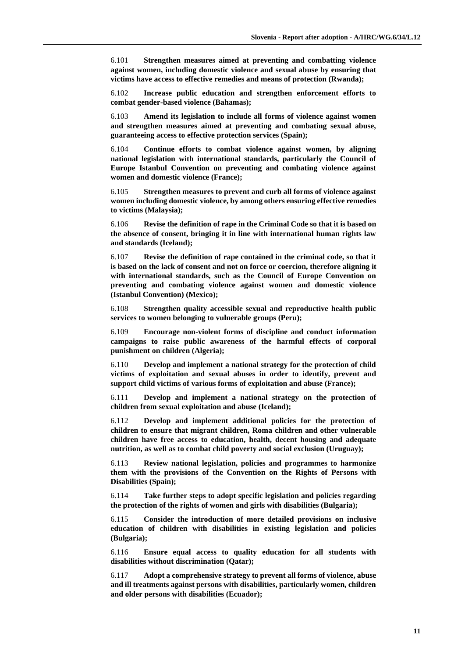6.101 **Strengthen measures aimed at preventing and combatting violence against women, including domestic violence and sexual abuse by ensuring that victims have access to effective remedies and means of protection (Rwanda);**

6.102 **Increase public education and strengthen enforcement efforts to combat gender-based violence (Bahamas);**

6.103 **Amend its legislation to include all forms of violence against women and strengthen measures aimed at preventing and combating sexual abuse, guaranteeing access to effective protection services (Spain);**

6.104 **Continue efforts to combat violence against women, by aligning national legislation with international standards, particularly the Council of Europe Istanbul Convention on preventing and combating violence against women and domestic violence (France);**

6.105 **Strengthen measures to prevent and curb all forms of violence against women including domestic violence, by among others ensuring effective remedies to victims (Malaysia);**

6.106 **Revise the definition of rape in the Criminal Code so that it is based on the absence of consent, bringing it in line with international human rights law and standards (Iceland);**

6.107 **Revise the definition of rape contained in the criminal code, so that it is based on the lack of consent and not on force or coercion, therefore aligning it with international standards, such as the Council of Europe Convention on preventing and combating violence against women and domestic violence (Istanbul Convention) (Mexico);**

6.108 **Strengthen quality accessible sexual and reproductive health public services to women belonging to vulnerable groups (Peru);**

6.109 **Encourage non-violent forms of discipline and conduct information campaigns to raise public awareness of the harmful effects of corporal punishment on children (Algeria);**

6.110 **Develop and implement a national strategy for the protection of child victims of exploitation and sexual abuses in order to identify, prevent and support child victims of various forms of exploitation and abuse (France);**

6.111 **Develop and implement a national strategy on the protection of children from sexual exploitation and abuse (Iceland);**

6.112 **Develop and implement additional policies for the protection of children to ensure that migrant children, Roma children and other vulnerable children have free access to education, health, decent housing and adequate nutrition, as well as to combat child poverty and social exclusion (Uruguay);**

6.113 **Review national legislation, policies and programmes to harmonize them with the provisions of the Convention on the Rights of Persons with Disabilities (Spain);**

6.114 **Take further steps to adopt specific legislation and policies regarding the protection of the rights of women and girls with disabilities (Bulgaria);**

6.115 **Consider the introduction of more detailed provisions on inclusive education of children with disabilities in existing legislation and policies (Bulgaria);**

6.116 **Ensure equal access to quality education for all students with disabilities without discrimination (Qatar);**

6.117 **Adopt a comprehensive strategy to prevent all forms of violence, abuse and ill treatments against persons with disabilities, particularly women, children and older persons with disabilities (Ecuador);**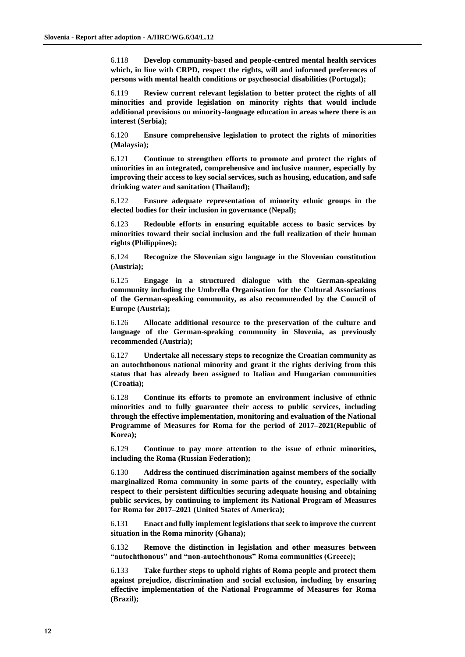6.118 **Develop community-based and people-centred mental health services which, in line with CRPD, respect the rights, will and informed preferences of persons with mental health conditions or psychosocial disabilities (Portugal);**

6.119 **Review current relevant legislation to better protect the rights of all minorities and provide legislation on minority rights that would include additional provisions on minority-language education in areas where there is an interest (Serbia);**

6.120 **Ensure comprehensive legislation to protect the rights of minorities (Malaysia);**

6.121 **Continue to strengthen efforts to promote and protect the rights of minorities in an integrated, comprehensive and inclusive manner, especially by improving their access to key social services, such as housing, education, and safe drinking water and sanitation (Thailand);**

6.122 **Ensure adequate representation of minority ethnic groups in the elected bodies for their inclusion in governance (Nepal);**

6.123 **Redouble efforts in ensuring equitable access to basic services by minorities toward their social inclusion and the full realization of their human rights (Philippines);**

6.124 **Recognize the Slovenian sign language in the Slovenian constitution (Austria);**

6.125 **Engage in a structured dialogue with the German-speaking community including the Umbrella Organisation for the Cultural Associations of the German-speaking community, as also recommended by the Council of Europe (Austria);**

6.126 **Allocate additional resource to the preservation of the culture and language of the German-speaking community in Slovenia, as previously recommended (Austria);**

6.127 **Undertake all necessary steps to recognize the Croatian community as an autochthonous national minority and grant it the rights deriving from this status that has already been assigned to Italian and Hungarian communities (Croatia);**

6.128 **Continue its efforts to promote an environment inclusive of ethnic minorities and to fully guarantee their access to public services, including through the effective implementation, monitoring and evaluation of the National Programme of Measures for Roma for the period of 2017–2021(Republic of Korea);**

6.129 **Continue to pay more attention to the issue of ethnic minorities, including the Roma (Russian Federation);**

6.130 **Address the continued discrimination against members of the socially marginalized Roma community in some parts of the country, especially with respect to their persistent difficulties securing adequate housing and obtaining public services, by continuing to implement its National Program of Measures for Roma for 2017–2021 (United States of America);**

6.131 **Enact and fully implement legislations that seek to improve the current situation in the Roma minority (Ghana);**

6.132 **Remove the distinction in legislation and other measures between "autochthonous" and "non-autochthonous" Roma communities (Greece);**

6.133 **Take further steps to uphold rights of Roma people and protect them against prejudice, discrimination and social exclusion, including by ensuring effective implementation of the National Programme of Measures for Roma (Brazil);**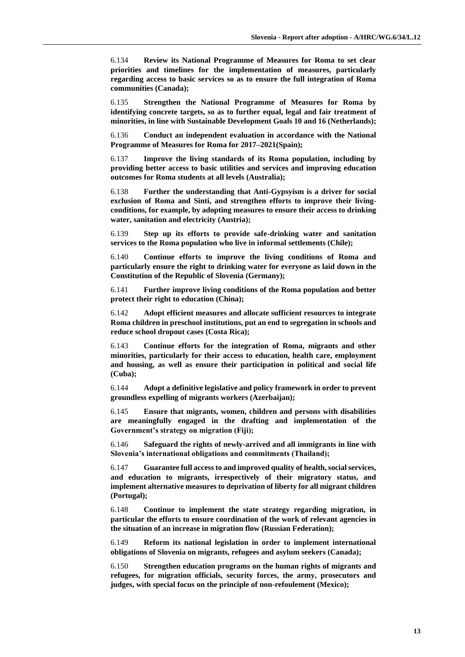6.134 **Review its National Programme of Measures for Roma to set clear priorities and timelines for the implementation of measures, particularly regarding access to basic services so as to ensure the full integration of Roma communities (Canada);**

6.135 **Strengthen the National Programme of Measures for Roma by identifying concrete targets, so as to further equal, legal and fair treatment of minorities, in line with Sustainable Development Goals 10 and 16 (Netherlands);**

6.136 **Conduct an independent evaluation in accordance with the National Programme of Measures for Roma for 2017–2021(Spain);**

6.137 **Improve the living standards of its Roma population, including by providing better access to basic utilities and services and improving education outcomes for Roma students at all levels (Australia);**

6.138 **Further the understanding that Anti-Gypsyism is a driver for social exclusion of Roma and Sinti, and strengthen efforts to improve their livingconditions, for example, by adopting measures to ensure their access to drinking water, sanitation and electricity (Austria);**

6.139 **Step up its efforts to provide safe-drinking water and sanitation services to the Roma population who live in informal settlements (Chile);**

6.140 **Continue efforts to improve the living conditions of Roma and particularly ensure the right to drinking water for everyone as laid down in the Constitution of the Republic of Slovenia (Germany);**

6.141 **Further improve living conditions of the Roma population and better protect their right to education (China);**

6.142 **Adopt efficient measures and allocate sufficient resources to integrate Roma children in preschool institutions, put an end to segregation in schools and reduce school dropout cases (Costa Rica);**

6.143 **Continue efforts for the integration of Roma, migrants and other minorities, particularly for their access to education, health care, employment and housing, as well as ensure their participation in political and social life (Cuba);**

6.144 **Adopt a definitive legislative and policy framework in order to prevent groundless expelling of migrants workers (Azerbaijan);**

6.145 **Ensure that migrants, women, children and persons with disabilities are meaningfully engaged in the drafting and implementation of the Government's strategy on migration (Fiji);**

6.146 **Safeguard the rights of newly-arrived and all immigrants in line with Slovenia's international obligations and commitments (Thailand);**

6.147 **Guarantee full access to and improved quality of health, social services, and education to migrants, irrespectively of their migratory status, and implement alternative measures to deprivation of liberty for all migrant children (Portugal);**

6.148 **Continue to implement the state strategy regarding migration, in particular the efforts to ensure coordination of the work of relevant agencies in the situation of an increase in migration flow (Russian Federation);**

6.149 **Reform its national legislation in order to implement international obligations of Slovenia on migrants, refugees and asylum seekers (Canada);**

6.150 **Strengthen education programs on the human rights of migrants and refugees, for migration officials, security forces, the army, prosecutors and judges, with special focus on the principle of non-refoulement (Mexico);**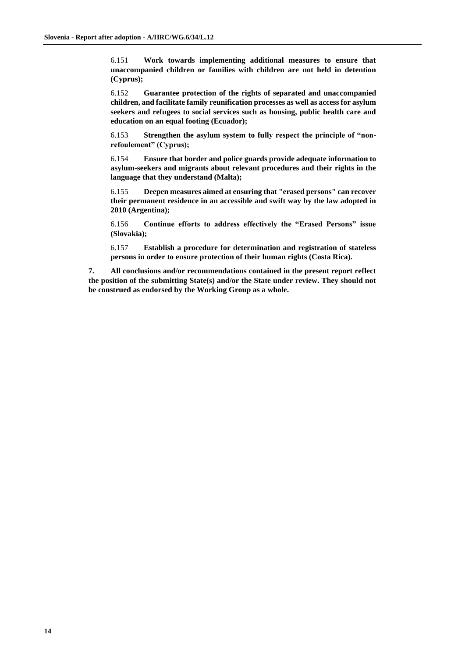6.151 **Work towards implementing additional measures to ensure that unaccompanied children or families with children are not held in detention (Cyprus);**

6.152 **Guarantee protection of the rights of separated and unaccompanied children, and facilitate family reunification processes as well as access for asylum seekers and refugees to social services such as housing, public health care and education on an equal footing (Ecuador);**

6.153 **Strengthen the asylum system to fully respect the principle of "nonrefoulement" (Cyprus);**

6.154 **Ensure that border and police guards provide adequate information to asylum-seekers and migrants about relevant procedures and their rights in the language that they understand (Malta);**

6.155 **Deepen measures aimed at ensuring that "erased persons" can recover their permanent residence in an accessible and swift way by the law adopted in 2010 (Argentina);**

6.156 **Continue efforts to address effectively the "Erased Persons" issue (Slovakia);**

6.157 **Establish a procedure for determination and registration of stateless persons in order to ensure protection of their human rights (Costa Rica).**

**7. All conclusions and/or recommendations contained in the present report reflect the position of the submitting State(s) and/or the State under review. They should not be construed as endorsed by the Working Group as a whole.**